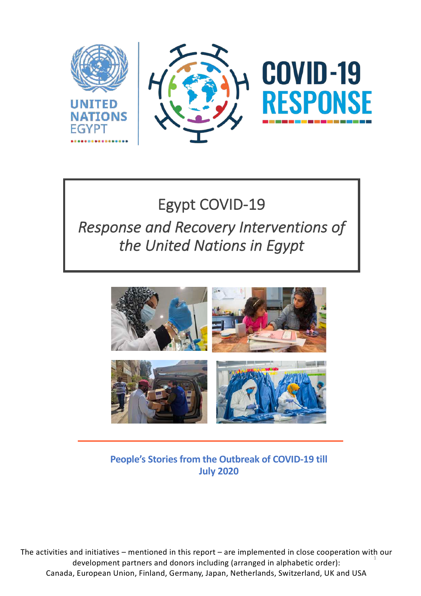

# Egypt COVID-19 *Response and Recovery Interventions of the United Nations in Egypt*



# **People's Stories from the Outbreak of COVID-19 till July 2020**

The activities and initiatives – mentioned in this report – are implemented in close cooperation with our development partners and donors including (arranged in alphabetic order): Canada, European Union, Finland, Germany, Japan, Netherlands, Switzerland, UK and USA 1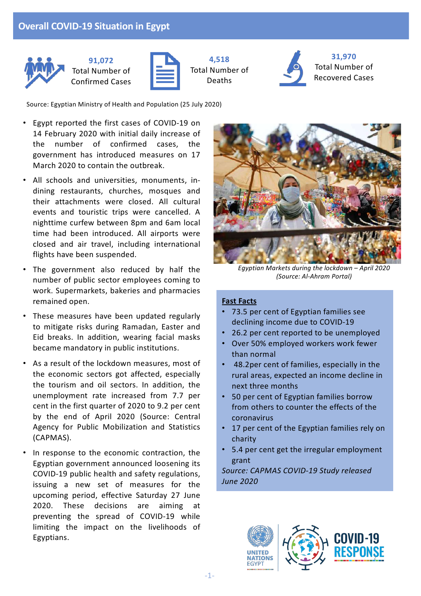

**91,072** Total Number of Confirmed Cases



**4,518** Total Number of Deaths



**31,970** Total Number of Recovered Cases

Source: Egyptian Ministry of Health and Population (25 July 2020)

- Egypt reported the first cases of COVID-19 on 14 February 2020 with initial daily increase of the number of confirmed cases, the government has introduced measures on 17 March 2020 to contain the outbreak.
- All schools and universities, monuments, indining restaurants, churches, mosques and their attachments were closed. All cultural events and touristic trips were cancelled. A nighttime curfew between 8pm and 6am local time had been introduced. All airports were closed and air travel, including international flights have been suspended.
- The government also reduced by half the number of public sector employees coming to work. Supermarkets, bakeries and pharmacies remained open.
- These measures have been updated regularly to mitigate risks during Ramadan, Easter and Eid breaks. In addition, wearing facial masks became mandatory in public institutions.
- As a result of the lockdown measures, most of the economic sectors got affected, especially the tourism and oil sectors. In addition, the unemployment rate increased from 7.7 per cent in the first quarter of 2020 to 9.2 per cent by the end of April 2020 (Source: Central Agency for Public Mobilization and Statistics (CAPMAS).
- In response to the economic contraction, the Egyptian government announced loosening its COVID-19 public health and safety regulations, issuing a new set of measures for the upcoming period, effective Saturday 27 June 2020. These decisions are aiming at preventing the spread of COVID-19 while limiting the impact on the livelihoods of Egyptians.



*Egyptian Markets during the lockdown – April 2020 (Source: Al-Ahram Portal)* 

## **Fast Facts**

- 73.5 per cent of Egyptian families see declining income due to COVID-19
- 26.2 per cent reported to be unemployed
- Over 50% employed workers work fewer than normal
- 48.2per cent of families, especially in the rural areas, expected an income decline in next three months
- 50 per cent of Egyptian families borrow from others to counter the effects of the coronavirus
- 17 per cent of the Egyptian families rely on charity
- 5.4 per cent get the irregular employment grant

*Source: CAPMAS COVID-19 Study released June 2020*

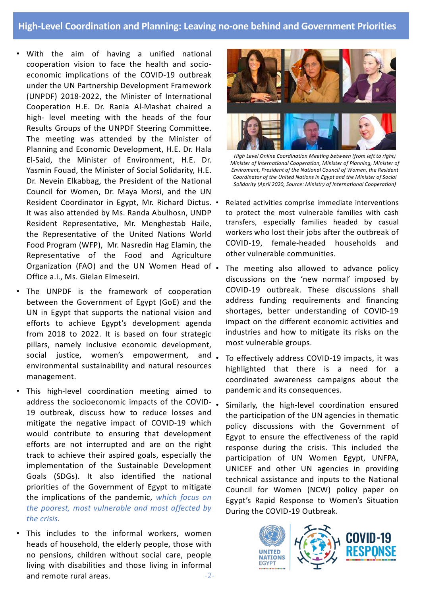- With the aim of having a unified national cooperation vision to face the health and socioeconomic implications of the COVID-19 outbreak under the UN Partnership Development Framework (UNPDF) 2018-2022, the Minister of International Cooperation H.E. Dr. Rania Al-Mashat chaired a high- level meeting with the heads of the four Results Groups of the UNPDF Steering Committee. The meeting was attended by the Minister of Planning and Economic Development, H.E. Dr. Hala El-Said, the Minister of Environment, H.E. Dr. Yasmin Fouad, the Minister of Social Solidarity, H.E. Dr. Nevein Elkabbag, the President of the National Council for Women, Dr. Maya Morsi, and the UN Resident Coordinator in Egypt, Mr. Richard Dictus. It was also attended by Ms. Randa Abulhosn, UNDP Resident Representative, Mr. Menghestab Haile, the Representative of the United Nations World Food Program (WFP), Mr. Nasredin Hag Elamin, the Representative of the Food and Agriculture Organization (FAO) and the UN Women Head of. Office a.i., Ms. Gielan Elmeseiri.
- The UNPDF is the framework of cooperation between the Government of Egypt (GoE) and the UN in Egypt that supports the national vision and efforts to achieve Egypt's development agenda from 2018 to 2022. It is based on four strategic pillars, namely inclusive economic development, social justice, women's empowerment, and environmental sustainability and natural resources management.
- This high-level coordination meeting aimed to address the socioeconomic impacts of the COVID-19 outbreak, discuss how to reduce losses and mitigate the negative impact of COVID-19 which would contribute to ensuring that development efforts are not interrupted and are on the right track to achieve their aspired goals, especially the implementation of the Sustainable Development Goals (SDGs). It also identified the national priorities of the Government of Egypt to mitigate the implications of the pandemic, *which focus on the poorest, most vulnerable and most affected by the crisis*.
- This includes to the informal workers, women heads of household, the elderly people, those with no pensions, children without social care, people living with disabilities and those living in informal and remote rural areas. -2-



*High Level Online Coordination Meeting between (from left to right) Minister of International Cooperation, Minister of Planning, Minister of Enviroment, President of the National Council of Women, the Resident Coordinator of the United Nations in Egypt and the Minister of Social Solidarity (April 2020, Source: Ministry of International Cooperation)* 

- Related activities comprise immediate interventions to protect the most vulnerable families with cash transfers, especially families headed by casual workers who lost their jobs after the outbreak of COVID-19, female-headed households and other vulnerable communities.
- The meeting also allowed to advance policy discussions on the 'new normal' imposed by COVID-19 outbreak. These discussions shall address funding requirements and financing shortages, better understanding of COVID-19 impact on the different economic activities and industries and how to mitigate its risks on the most vulnerable groups.
- To effectively address COVID-19 impacts, it was highlighted that there is a need for a coordinated awareness campaigns about the pandemic and its consequences.
- Similarly, the high-level coordination ensured the participation of the UN agencies in thematic policy discussions with the Government of Egypt to ensure the effectiveness of the rapid response during the crisis. This included the participation of UN Women Egypt, UNFPA, UNICEF and other UN agencies in providing technical assistance and inputs to the National Council for Women (NCW) policy paper on Egypt's Rapid Response to Women's Situation During the COVID-19 Outbreak.

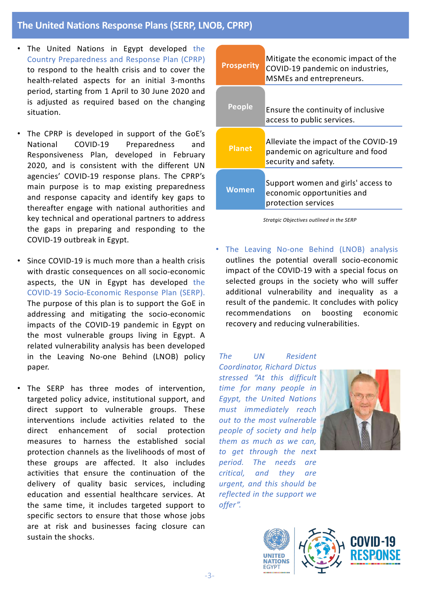# **The United Nations Response Plans (SERP, LNOB, CPRP)**

- The United Nations in Egypt developed the Country Preparedness and Response Plan (CPRP) to respond to the health crisis and to cover the health-related aspects for an initial 3-months period, starting from 1 April to 30 June 2020 and is adjusted as required based on the changing situation.
- The CPRP is developed in support of the GoE's National COVID-19 Preparedness and Responsiveness Plan, developed in February 2020, and is consistent with the different UN agencies' COVID-19 response plans. The CPRP's main purpose is to map existing preparedness and response capacity and identify key gaps to thereafter engage with national authorities and key technical and operational partners to address the gaps in preparing and responding to the COVID-19 outbreak in Egypt.
- Since COVID-19 is much more than a health crisis with drastic consequences on all socio-economic aspects, the UN in Egypt has developed the COVID-19 Socio-Economic Response Plan (SERP). The purpose of this plan is to support the GoE in addressing and mitigating the socio-economic impacts of the COVID-19 pandemic in Egypt on the most vulnerable groups living in Egypt. A related vulnerability analysis has been developed in the Leaving No-one Behind (LNOB) policy paper.
- The SERP has three modes of intervention, targeted policy advice, institutional support, and direct support to vulnerable groups. These interventions include activities related to the direct enhancement of social protection measures to harness the established social protection channels as the livelihoods of most of these groups are affected. It also includes activities that ensure the continuation of the delivery of quality basic services, including education and essential healthcare services. At the same time, it includes targeted support to specific sectors to ensure that those whose jobs are at risk and businesses facing closure can sustain the shocks.

| <b>Prosperity</b> | Mitigate the economic impact of the<br>COVID-19 pandemic on industries,<br>MSMEs and entrepreneurs. |
|-------------------|-----------------------------------------------------------------------------------------------------|
| <b>People</b>     | Ensure the continuity of inclusive<br>access to public services.                                    |
| <b>Planet</b>     | Alleviate the impact of the COVID-19<br>pandemic on agriculture and food<br>security and safety.    |
| Women             | Support women and girls' access to<br>economic opportunities and<br>protection services             |

*Stratgic Objectives outlined in the SERP* 

• The Leaving No-one Behind (LNOB) analysis outlines the potential overall socio-economic impact of the COVID-19 with a special focus on selected groups in the society who will suffer additional vulnerability and inequality as a result of the pandemic. It concludes with policy recommendations on boosting economic recovery and reducing vulnerabilities.

*The UN Resident Coordinator, Richard Dictus stressed "At this difficult time for many people in Egypt, the United Nations must immediately reach out to the most vulnerable people of society and help them as much as we can, to get through the next period. The needs are critical, and they are urgent, and this should be reflected in the support we offer".*



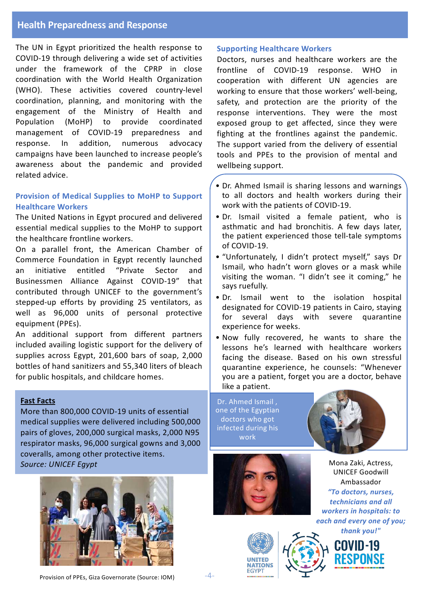# **Health Preparedness and Response**

The UN in Egypt prioritized the health response to COVID-19 through delivering a wide set of activities under the framework of the CPRP in close coordination with the World Health Organization (WHO). These activities covered country-level coordination, planning, and monitoring with the engagement of the Ministry of Health and Population (MoHP) to provide coordinated management of COVID-19 preparedness and response. In addition, numerous advocacy campaigns have been launched to increase people's awareness about the pandemic and provided related advice.

## **Provision of Medical Supplies to MoHP to Support Healthcare Workers**

The United Nations in Egypt procured and delivered essential medical supplies to the MoHP to support the healthcare frontline workers.

On a parallel front, the American Chamber of Commerce Foundation in Egypt recently launched an initiative entitled "Private Sector and Businessmen Alliance Against COVID-19" that contributed through UNICEF to the government's stepped-up efforts by providing 25 ventilators, as well as 96,000 units of personal protective equipment (PPEs).

An additional support from different partners included availing logistic support for the delivery of supplies across Egypt, 201,600 bars of soap, 2,000 bottles of hand sanitizers and 55,340 liters of bleach for public hospitals, and childcare homes.

#### **Fast Facts**

More than 800,000 COVID-19 units of essential medical supplies were delivered including 500,000 pairs of gloves, 200,000 surgical masks, 2,000 N95 respirator masks, 96,000 surgical gowns and 3,000 coveralls, among other protective items. *Source: UNICEF Egypt* 



#### **Supporting Healthcare Workers**

Doctors, nurses and healthcare workers are the frontline of COVID-19 response. WHO in cooperation with different UN agencies are working to ensure that those workers' well-being, safety, and protection are the priority of the response interventions. They were the most exposed group to get affected, since they were fighting at the frontlines against the pandemic. The support varied from the delivery of essential tools and PPEs to the provision of mental and wellbeing support.

- Dr. Ahmed Ismail is sharing lessons and warnings to all doctors and health workers during their work with the patients of COVID-19.
- Dr. Ismail visited a female patient, who is asthmatic and had bronchitis. A few days later, the patient experienced those tell-tale symptoms of COVID-19.
- "Unfortunately, I didn't protect myself," says Dr Ismail, who hadn't worn gloves or a mask while visiting the woman. "I didn't see it coming," he says ruefully.
- Dr. Ismail went to the isolation hospital designated for COVID-19 patients in Cairo, staying for several days with severe quarantine experience for weeks.
- Now fully recovered, he wants to share the lessons he's learned with healthcare workers facing the disease. Based on his own stressful quarantine experience, he counsels: "Whenever you are a patient, forget you are a doctor, behave like a patient.

Dr. Ahmed Ismail , one of the Egyptian doctors who got infected during his work





Mona Zaki, Actress, UNICEF Goodwill Ambassador *"To doctors, nurses, technicians and all workers in hospitals: to each and every one of you; thank you!"*

5



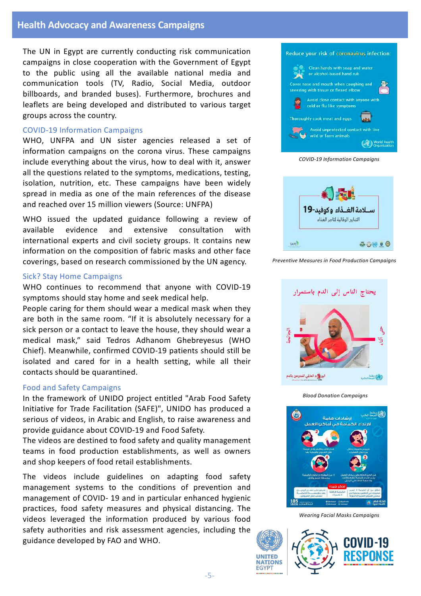# **Health Advocacy and Awareness Campaigns**

The UN in Egypt are currently conducting risk communication campaigns in close cooperation with the Government of Egypt to the public using all the available national media and communication tools (TV, Radio, Social Media, outdoor billboards, and branded buses). Furthermore, brochures and leaflets are being developed and distributed to various target groups across the country.

#### COVID-19 Information Campaigns

WHO, UNFPA and UN sister agencies released a set of information campaigns on the corona virus. These campaigns include everything about the virus, how to deal with it, answer all the questions related to the symptoms, medications, testing, isolation, nutrition, etc. These campaigns have been widely spread in media as one of the main references of the disease and reached over 15 million viewers (Source: UNFPA)

WHO issued the updated guidance following a review of available evidence and extensive consultation with international experts and civil society groups. It contains new information on the composition of fabric masks and other face coverings, based on research commissioned by the UN agency.

### Sick? Stay Home Campaigns

WHO continues to recommend that anyone with COVID-19 symptoms should stay home and seek medical help.

People caring for them should wear a medical mask when they are both in the same room. "If it is absolutely necessary for a sick person or a contact to leave the house, they should wear a medical mask," said Tedros Adhanom Ghebreyesus (WHO Chief). Meanwhile, confirmed COVID-19 patients should still be isolated and cared for in a health setting, while all their contacts should be quarantined.

#### Food and Safety Campaigns

In the framework of UNIDO project entitled "Arab Food Safety Initiative for Trade Facilitation (SAFE)", UNIDO has produced a serious of videos, in Arabic and English, to raise awareness and provide guidance about COVID-19 and Food Safety.

The videos are destined to food safety and quality management teams in food production establishments, as well as owners and shop keepers of food retail establishments.

The videos include guidelines on adapting food safety management systems to the conditions of prevention and management of COVID- 19 and in particular enhanced hygienic practices, food safety measures and physical distancing. The videos leveraged the information produced by various food safety authorities and risk assessment agencies, including the guidance developed by FAO and WHO.



*COVID-19 Information Campaigns* 







*Blood Donation Campaigns* 



*Wearing Facial Masks Campaigns* 

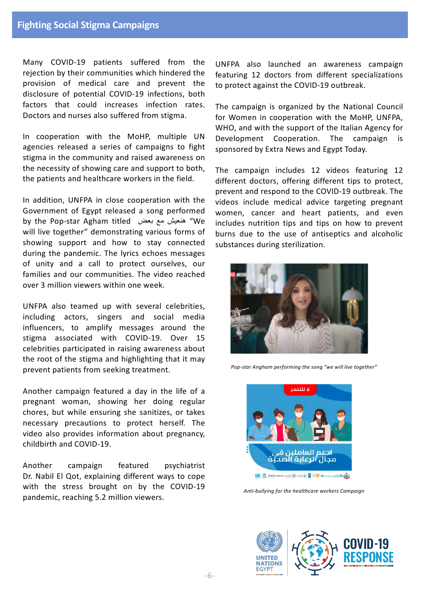Many COVID-19 patients suffered from the rejection by their communities which hindered the provision of medical care and prevent the disclosure of potential COVID-19 infections, both factors that could increases infection rates. Doctors and nurses also suffered from stigma.

In cooperation with the MoHP, multiple UN agencies released a series of campaigns to fight stigma in the community and raised awareness on the necessity of showing care and support to both, the patients and healthcare workers in the field.

In addition, UNFPA in close cooperation with the Government of Egypt released a song performed by the Pop-star Agham titled ضعب عم شیعنھ" We will live together" demonstrating various forms of showing support and how to stay connected during the pandemic. The lyrics echoes messages of unity and a call to protect ourselves, our families and our communities. The video reached over 3 million viewers within one week.

UNFPA also teamed up with several celebrities, including actors, singers and social media influencers, to amplify messages around the stigma associated with COVID-19. Over 15 celebrities participated in raising awareness about the root of the stigma and highlighting that it may prevent patients from seeking treatment.

Another campaign featured a day in the life of a pregnant woman, showing her doing regular chores, but while ensuring she sanitizes, or takes necessary precautions to protect herself. The video also provides information about pregnancy, childbirth and COVID-19.

Another campaign featured psychiatrist Dr. Nabil El Qot, explaining different ways to cope with the stress brought on by the COVID-19 pandemic, reaching 5.2 million viewers.

UNFPA also launched an awareness campaign featuring 12 doctors from different specializations to protect against the COVID-19 outbreak.

The campaign is organized by the National Council for Women in cooperation with the MoHP, UNFPA, WHO, and with the support of the Italian Agency for Development Cooperation. The campaign is sponsored by Extra News and Egypt Today.

The campaign includes 12 videos featuring 12 different doctors, offering different tips to protect, prevent and respond to the COVID-19 outbreak. The videos include medical advice targeting pregnant women, cancer and heart patients, and even includes nutrition tips and tips on how to prevent burns due to the use of antiseptics and alcoholic substances during sterilization.



*Pop-star Angham performing the song "we will live together"*



*Anti-bullying for the healthcare workers Campaign* 

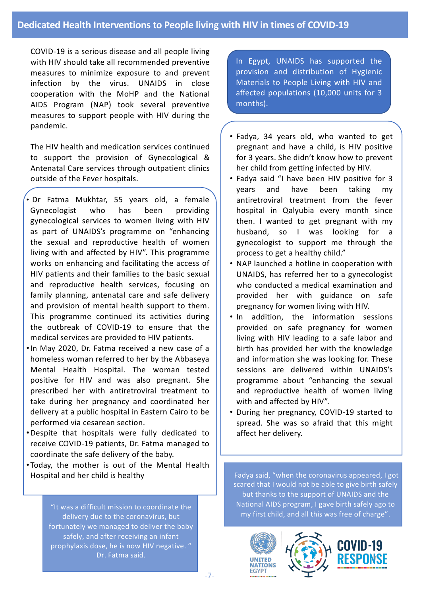COVID-19 is a serious disease and all people living with HIV should take all recommended preventive measures to minimize exposure to and prevent infection by the virus. UNAIDS in close cooperation with the MoHP and the National AIDS Program (NAP) took several preventive measures to support people with HIV during the pandemic.

The HIV health and medication services continued to support the provision of Gynecological & Antenatal Care services through outpatient clinics outside of the Fever hospitals.

• Dr Fatma Mukhtar, 55 years old, a female Gynecologist who has been providing gynecological services to women living with HIV as part of UNAIDS's programme on "enhancing the sexual and reproductive health of women living with and affected by HIV". This programme works on enhancing and facilitating the access of HIV patients and their families to the basic sexual and reproductive health services, focusing on family planning, antenatal care and safe delivery and provision of mental health support to them. This programme continued its activities during the outbreak of COVID-19 to ensure that the medical services are provided to HIV patients.

- •In May 2020, Dr. Fatma received a new case of a homeless woman referred to her by the Abbaseya Mental Health Hospital. The woman tested positive for HIV and was also pregnant. She prescribed her with antiretroviral treatment to take during her pregnancy and coordinated her delivery at a public hospital in Eastern Cairo to be performed via cesarean section.
- •Despite that hospitals were fully dedicated to receive COVID-19 patients, Dr. Fatma managed to coordinate the safe delivery of the baby.
- Today, the mother is out of the Mental Health Hospital and her child is healthy

"It was a difficult mission to coordinate the delivery due to the coronavirus, but fortunately we managed to deliver the baby safely, and after receiving an infant prophylaxis dose, he is now HIV negative. " Dr. Fatma said.

In Egypt, UNAIDS has supported the provision and distribution of Hygienic Materials to People Living with HIV and affected populations (10,000 units for 3 months).

- Fadya, 34 years old, who wanted to get pregnant and have a child, is HIV positive for 3 years. She didn't know how to prevent her child from getting infected by HIV.
- Fadya said "I have been HIV positive for 3 years and have been taking my antiretroviral treatment from the fever hospital in Qalyubia every month since then. I wanted to get pregnant with my husband, so I was looking for a gynecologist to support me through the process to get a healthy child."
- NAP launched a hotline in cooperation with UNAIDS, has referred her to a gynecologist who conducted a medical examination and provided her with guidance on safe pregnancy for women living with HIV.
- In addition, the information sessions provided on safe pregnancy for women living with HIV leading to a safe labor and birth has provided her with the knowledge and information she was looking for. These sessions are delivered within UNAIDS's programme about "enhancing the sexual and reproductive health of women living with and affected by HIV".
- During her pregnancy, COVID-19 started to spread. She was so afraid that this might affect her delivery.

Fadya said, "when the coronavirus appeared, I got scared that I would not be able to give birth safely but thanks to the support of UNAIDS and the National AIDS program, I gave birth safely ago to my first child, and all this was free of charge".





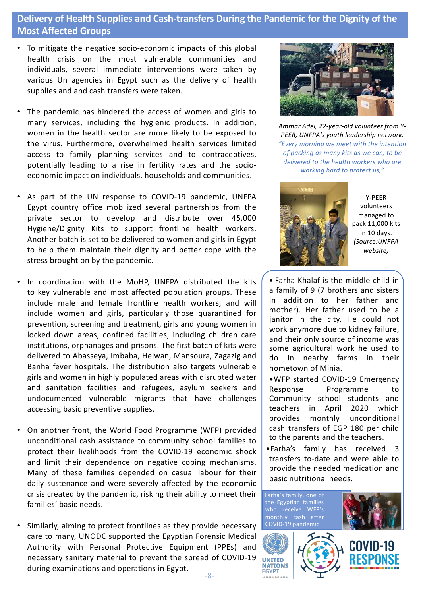# **Delivery of Health Supplies and Cash-transfers During the Pandemic for the Dignity of the Most Affected Groups**

- To mitigate the negative socio-economic impacts of this global health crisis on the most vulnerable communities and individuals, several immediate interventions were taken by various Un agencies in Egypt such as the delivery of health supplies and and cash transfers were taken.
- The pandemic has hindered the access of women and girls to many services, including the hygienic products. In addition, women in the health sector are more likely to be exposed to the virus. Furthermore, overwhelmed health services limited access to family planning services and to contraceptives, potentially leading to a rise in fertility rates and the socioeconomic impact on individuals, households and communities.
- As part of the UN response to COVID-19 pandemic, UNFPA Egypt country office mobilized several partnerships from the private sector to develop and distribute over 45,000 Hygiene/Dignity Kits to support frontline health workers. Another batch is set to be delivered to women and girls in Egypt to help them maintain their dignity and better cope with the stress brought on by the pandemic.
- In coordination with the MoHP, UNFPA distributed the kits to key vulnerable and most affected population groups. These include male and female frontline health workers, and will include women and girls, particularly those quarantined for prevention, screening and treatment, girls and young women in locked down areas, confined facilities, including children care institutions, orphanages and prisons. The first batch of kits were delivered to Abasseya, Imbaba, Helwan, Mansoura, Zagazig and Banha fever hospitals. The distribution also targets vulnerable girls and women in highly populated areas with disrupted water and sanitation facilities and refugees, asylum seekers and undocumented vulnerable migrants that have challenges accessing basic preventive supplies.
- On another front, the World Food Programme (WFP) provided unconditional cash assistance to community school families to protect their livelihoods from the COVID-19 economic shock and limit their dependence on negative coping mechanisms. Many of these families depended on casual labour for their daily sustenance and were severely affected by the economic crisis created by the pandemic, risking their ability to meet their families' basic needs.
- Similarly, aiming to protect frontlines as they provide necessary care to many, UNODC supported the Egyptian Forensic Medical Authority with Personal Protective Equipment (PPEs) and necessary sanitary material to prevent the spread of COVID-19 during examinations and operations in Egypt.



*Ammar Adel, 22-year-old volunteer from Y-PEER, UNFPA's youth leadership network. "Every morning we meet with the intention of packing as many kits as we can, to be delivered to the health workers who are working hard to protect us,"*



Y-PEER volunteers managed to pack 11,000 kits in 10 days. *(Source:UNFPA website)* 

• Farha Khalaf is the middle child in a family of 9 (7 brothers and sisters in addition to her father and mother). Her father used to be a janitor in the city. He could not work anymore due to kidney failure, and their only source of income was some agricultural work he used to do in nearby farms in their hometown of Minia.

•WFP started COVID-19 Emergency Response Programme to Community school students and teachers in April 2020 which provides monthly unconditional cash transfers of EGP 180 per child to the parents and the teachers.

•Farha's family has received 3 transfers to-date and were able to provide the needed medication and basic nutritional needs.

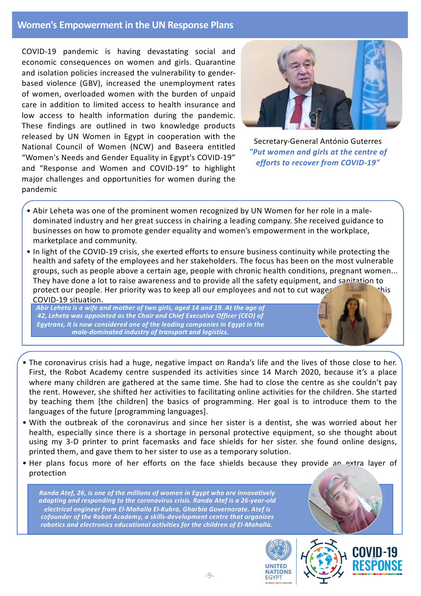# **Women's Empowerment in the UN Response Plans**

COVID-19 pandemic is having devastating social and economic consequences on women and girls. Quarantine and isolation policies increased the vulnerability to genderbased violence (GBV), increased the unemployment rates of women, overloaded women with the burden of unpaid care in addition to limited access to health insurance and low access to health information during the pandemic. These findings are outlined in two knowledge products released by UN Women in Egypt in cooperation with the National Council of Women (NCW) and Baseera entitled "Women's Needs and Gender Equality in Egypt's COVID-19" and "Response and Women and COVID-19" to highlight major challenges and opportunities for women during the pandemic



Secretary-General António Guterres *"Put women and girls at the centre of efforts to recover from COVID-19"*

- Abir Leheta was one of the prominent women recognized by UN Women for her role in a maledominated industry and her great success in chairing a leading company. She received guidance to businesses on how to promote gender equality and women's empowerment in the workplace, marketplace and community.
- In light of the COVID-19 crisis, she exerted efforts to ensure business continuity while protecting the health and safety of the employees and her stakeholders. The focus has been on the most vulnerable groups, such as people above a certain age, people with chronic health conditions, pregnant women... They have done a lot to raise awareness and to provide all the safety equipment, and sanitation to protect our people. Her priority was to keep all our employees and not to cut wages the this COVID-19 situation.

*Abir Leheta is a wife and mother of two girls, aged 14 and 19. At the age of 42, Leheta was appointed as the Chair and Chief Executive Officer (CEO) of Egytrans, it is now considered one of the leading companies in Egypt in the male-dominated industry of transport and logistics.*

- The coronavirus crisis had a huge, negative impact on Randa's life and the lives of those close to her. First, the Robot Academy centre suspended its activities since 14 March 2020, because it's a place where many children are gathered at the same time. She had to close the centre as she couldn't pay the rent. However, she shifted her activities to facilitating online activities for the children. She started by teaching them [the children] the basics of programming. Her goal is to introduce them to the languages of the future [programming languages].
- With the outbreak of the coronavirus and since her sister is a dentist, she was worried about her health, especially since there is a shortage in personal protective equipment, so she thought about using my 3-D printer to print facemasks and face shields for her sister. she found online designs, printed them, and gave them to her sister to use as a temporary solution.
- Her plans focus more of her efforts on the face shields because they provide an extra layer of protection

*Randa Atef, 26, is one of the millions of women in Egypt who are innovatively adapting and responding to the coronavirus crisis. Randa Atef is a 26-year-old electrical engineer from El-Mahalla El-Kubra, Gharbia Governorate. Atef is cofounder of the Robot Academy, a skills-development centre that organizes robotics and electronics educational activities for the children of El-Mahalla.*



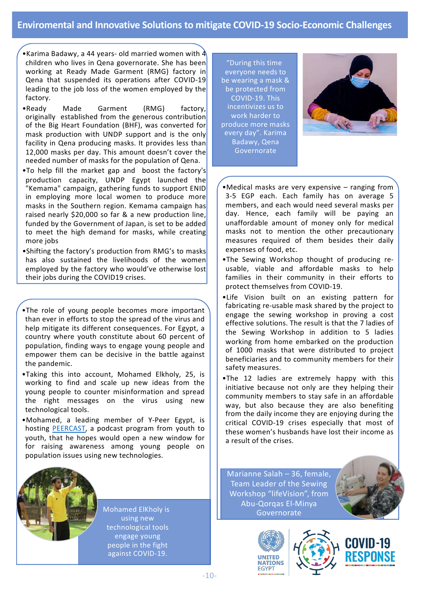- •Karima Badawy, a 44 years- old married women with  $4$ children who lives in Qena governorate. She has been working at Ready Made Garment (RMG) factory in Qena that suspended its operations after COVID-19 leading to the job loss of the women employed by the factory.
- •Ready Made Garment (RMG) factory, originally established from the generous contribution of the Big Heart Foundation (BHF), was converted for mask production with UNDP support and is the only facility in Qena producing masks. It provides less than 12,000 masks per day. This amount doesn't cover the needed number of masks for the population of Qena.
- •To help fill the market gap and boost the factory's production capacity, UNDP Egypt launched the "Kemama" campaign, gathering funds to support ENID in employing more local women to produce more masks in the Southern region. Kemama campaign has raised nearly \$20,000 so far & a new production line, funded by the Government of Japan, is set to be added to meet the high demand for masks, while creating more jobs
- •Shifting the factory's production from RMG's to masks has also sustained the livelihoods of the women employed by the factory who would've otherwise lost their jobs during the COVID19 crises.
- •The role of young people becomes more important than ever in efforts to stop the spread of the virus and help mitigate its different consequences. For Egypt, a country where youth constitute about 60 percent of population, finding ways to engage young people and empower them can be decisive in the battle against the pandemic.
- •Taking this into account, Mohamed Elkholy, 25, is working to find and scale up new ideas from the young people to counter misinformation and spread the right messages on the virus using new technological tools.
- •Mohamed, a leading member of Y-Peer Egypt, is hosting [PEERCA](https://youtu.be/LKYV5N5bkEc)ST, a podcast program from youth to youth, that he hopes would open a new window for for raising awareness among young people on population issues using new technologies.



Mohamed ElKholy is using new technological tools engage young people in the fight against COVID-19.

"During this time everyone needs to be wearing a mask & be protected from COVID-19. This incentivizes us to work harder to produce more masks every day". Karima Badawy, Qena **Governorate** 



- •Medical masks are very expensive ranging from 3-5 EGP each. Each family has on average 5 members, and each would need several masks per day. Hence, each family will be paying an unaffordable amount of money only for medical masks not to mention the other precautionary measures required of them besides their daily expenses of food, etc.
- •The Sewing Workshop thought of producing reusable, viable and affordable masks to help families in their community in their efforts to protect themselves from COVID-19.
- •Life Vision built on an existing pattern for fabricating re-usable mask shared by the project to engage the sewing workshop in proving a cost effective solutions. The result is that the 7 ladies of the Sewing Workshop in addition to 5 ladies working from home embarked on the production of 1000 masks that were distributed to project beneficiaries and to community members for their safety measures.
- •The 12 ladies are extremely happy with this initiative because not only are they helping their community members to stay safe in an affordable way, but also because they are also benefiting from the daily income they are enjoying during the critical COVID-19 crises especially that most of these women's husbands have lost their income as a result of the crises.

Marianne Salah – 36, female, Team Leader of the Sewing Workshop "lifeVision", from Abu-Qorqas El-Minya **Governorate** 





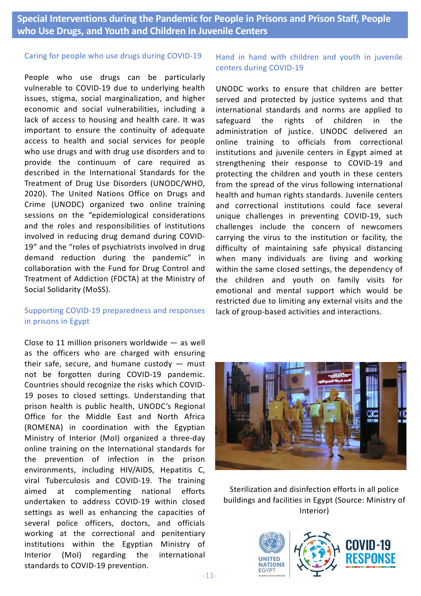**Special Interventions during the Pandemic for People in Prisons and Prison Staff, People who Use Drugs, and Youth and Children in Juvenile Centers**

#### Caring for people who use drugs during COVID-19

People who use drugs can be particularly vulnerable to COVID-19 due to underlying health issues, stigma, social marginalization, and higher economic and social vulnerabilities, including a lack of access to housing and health care. It was important to ensure the continuity of adequate access to health and social services for people who use drugs and with drug use disorders and to provide the continuum of care required as described in the International Standards for the Treatment of Drug Use Disorders (UNODC/WHO, 2020). The United Nations Office on Drugs and Crime (UNODC) organized two online training sessions on the "epidemiological considerations and the roles and responsibilities of institutions involved in reducing drug demand during COVID-19" and the "roles of psychiatrists involved in drug demand reduction during the pandemic" in collaboration with the Fund for Drug Control and Treatment of Addiction (FDCTA) at the Ministry of Social Solidarity (MoSS).

## Supporting COVID-19 preparedness and responses in prisons in Egypt

Close to 11 million prisoners worldwide — as well as the officers who are charged with ensuring their safe, secure, and humane custody  $-$  must not be forgotten during COVID-19 pandemic. Countries should recognize the risks which COVID-19 poses to closed settings. Understanding that prison health is public health, UNODC's Regional Office for the Middle East and North Africa (ROMENA) in coordination with the Egyptian Ministry of Interior (MoI) organized a three-day online training on the International standards for the prevention of infection in the prison environments, including HIV/AIDS, Hepatitis C, viral Tuberculosis and COVID-19. The training aimed at complementing national efforts undertaken to address COVID-19 within closed settings as well as enhancing the capacities of several police officers, doctors, and officials working at the correctional and penitentiary institutions within the Egyptian Ministry of Interior (MoI) regarding the international standards to COVID-19 prevention.

#### Hand in hand with children and youth in juvenile centers during COVID-19

UNODC works to ensure that children are better served and protected by justice systems and that international standards and norms are applied to safeguard the rights of children in the administration of justice. UNODC delivered an online training to officials from correctional institutions and juvenile centers in Egypt aimed at strengthening their response to COVID-19 and protecting the children and youth in these centers from the spread of the virus following international health and human rights standards. Juvenile centers and correctional institutions could face several unique challenges in preventing COVID-19, such challenges include the concern of newcomers carrying the virus to the institution or facility, the difficulty of maintaining safe physical distancing when many individuals are living and working within the same closed settings, the dependency of the children and youth on family visits for emotional and mental support which would be restricted due to limiting any external visits and the lack of group-based activities and interactions.



Sterilization and disinfection efforts in all police buildings and facilities in Egypt (Source: Ministry of Interior)

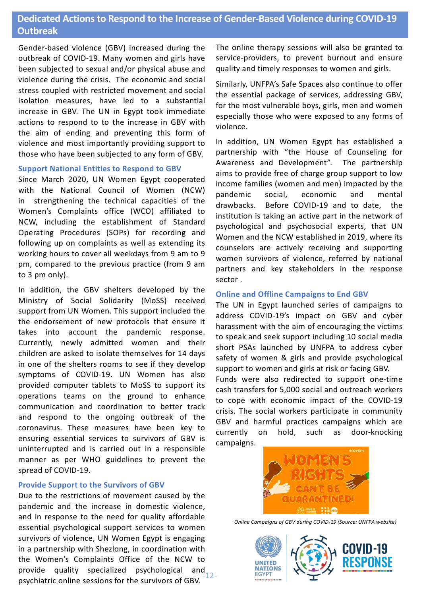# **Dedicated Actions to Respond to the Increase of Gender-Based Violence during COVID-19 Outbreak**

Gender-based violence (GBV) increased during the outbreak of COVID-19. Many women and girls have been subjected to sexual and/or physical abuse and violence during the crisis. The economic and social stress coupled with restricted movement and social isolation measures, have led to a substantial increase in GBV. The UN in Egypt took immediate actions to respond to to the increase in GBV with the aim of ending and preventing this form of violence and most importantly providing support to those who have been subjected to any form of GBV.

#### **Support National Entities to Respond to GBV**

Since March 2020, UN Women Egypt cooperated with the National Council of Women (NCW) in strengthening the technical capacities of the Women's Complaints office (WCO) affiliated to NCW, including the establishment of Standard Operating Procedures (SOPs) for recording and following up on complaints as well as extending its working hours to cover all weekdays from 9 am to 9 pm, compared to the previous practice (from 9 am to 3 pm only).

In addition, the GBV shelters developed by the Ministry of Social Solidarity (MoSS) received support from UN Women. This support included the the endorsement of new protocols that ensure it takes into account the pandemic response. Currently, newly admitted women and their children are asked to isolate themselves for 14 days in one of the shelters rooms to see if they develop symptoms of COVID-19. UN Women has also provided computer tablets to MoSS to support its operations teams on the ground to enhance communication and coordination to better track and respond to the ongoing outbreak of the coronavirus. These measures have been key to ensuring essential services to survivors of GBV is uninterrupted and is carried out in a responsible manner as per WHO guidelines to prevent the spread of COVID-19.

#### **Provide Support to the Survivors of GBV**

Due to the restrictions of movement caused by the pandemic and the increase in domestic violence, and in response to the need for quality affordable essential psychological support services to women survivors of violence, UN Women Egypt is engaging in a partnership with Shezlong, in coordination with the Women's Complaints Office of the NCW to provide quality specialized psychological and psychiatric online sessions for the survivors of GBV. -12-

The online therapy sessions will also be granted to service-providers, to prevent burnout and ensure quality and timely responses to women and girls.

Similarly, UNFPA's Safe Spaces also continue to offer the essential package of services, addressing GBV, for the most vulnerable boys, girls, men and women especially those who were exposed to any forms of violence.

In addition, UN Women Egypt has established a partnership with "the House of Counseling for Awareness and Development". The partnership aims to provide free of charge group support to low income families (women and men) impacted by the pandemic social, economic and mental drawbacks. Before COVID-19 and to date, the institution is taking an active part in the network of psychological and psychosocial experts, that UN Women and the NCW established in 2019, where its counselors are actively receiving and supporting women survivors of violence, referred by national partners and key stakeholders in the response sector .

#### **Online and Offline Campaigns to End GBV**

The UN in Egypt launched series of campaigns to address COVID-19's impact on GBV and cyber harassment with the aim of encouraging the victims to speak and seek support including 10 social media short PSAs launched by UNFPA to address cyber safety of women & girls and provide psychological support to women and girls at risk or facing GBV.

Funds were also redirected to support one-time cash transfers for 5,000 social and outreach workers to cope with economic impact of the COVID-19 crisis. The social workers participate in community GBV and harmful practices campaigns which are currently on hold, such as door-knocking campaigns.



*Online Campaigns of GBV during COVID-19 (Source: UNFPA website)*